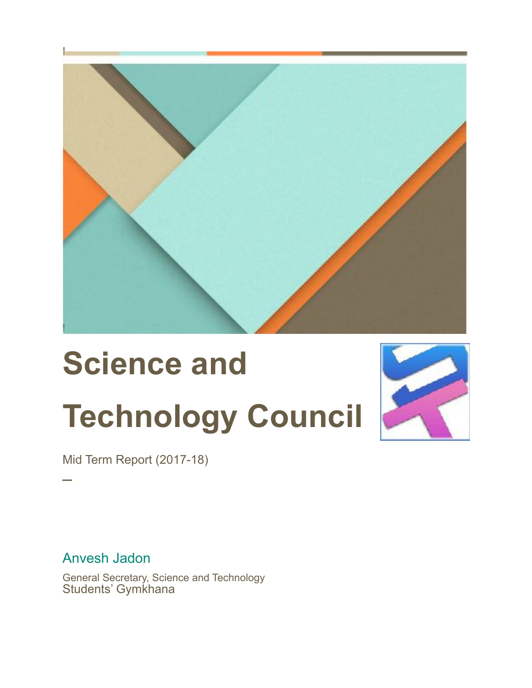

# **Science and Technology Council**



Mid Term Report (2017-18)

Anvesh Jadon

─

General Secretary, Science and Technology Students' Gymkhana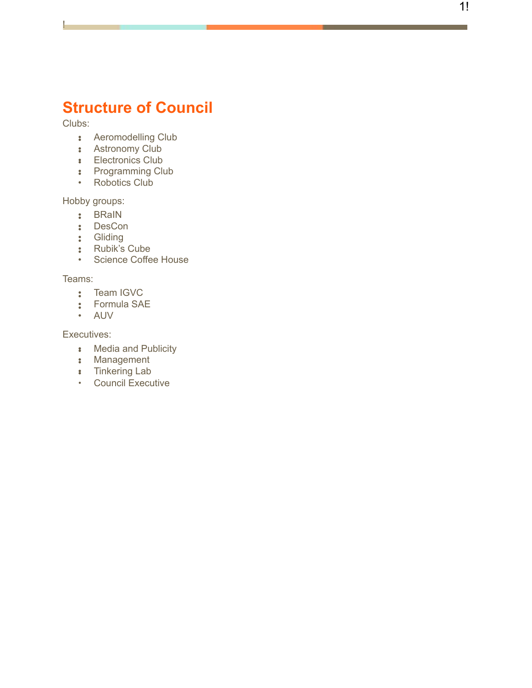# **Structure of Council**

!

- Clubs:<br>
 Aeromodelling Club<br>
 Electronics Club<br>
 Programming Club<br>
 Robotics Club
	-
	-
	-
	-

- 
- 
- 
- 
- Hobby groups:<br>
•• BRaIN<br>
•• DesCon<br>
•• Gliding<br>
•• Science Coffee House

- 
- Teams:<br>
 Team IGVC<br>
 Formula SAE<br>
 AUV
	-

- Executives:<br>
 Media and Publicity<br>
 Management<br>
 Tinkering Lab
	-
	-
	- Council Executive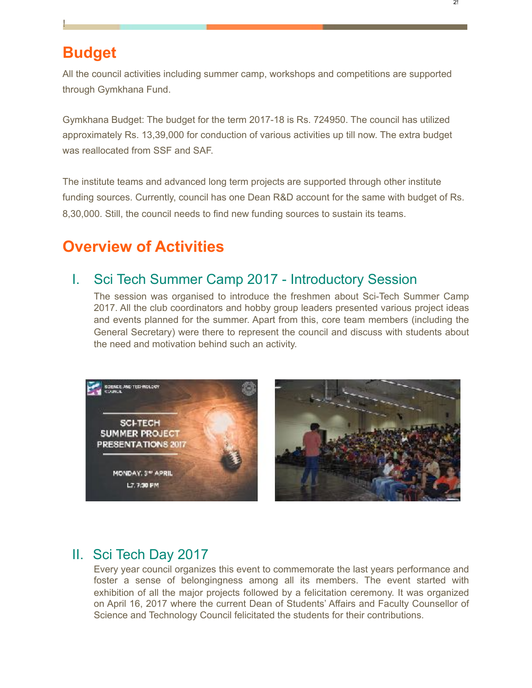# **Budget**

!

All the council activities including summer camp, workshops and competitions are supported through Gymkhana Fund.

Gymkhana Budget: The budget for the term 2017-18 is Rs. 724950. The council has utilized approximately Rs. 13,39,000 for conduction of various activities up till now. The extra budget was reallocated from SSF and SAF.

The institute teams and advanced long term projects are supported through other institute funding sources. Currently, council has one Dean R&D account for the same with budget of Rs. 8,30,000. Still, the council needs to find new funding sources to sustain its teams.

# **Overview of Activities**

## I. Sci Tech Summer Camp 2017 - Introductory Session

The session was organised to introduce the freshmen about Sci-Tech Summer Camp 2017. All the club coordinators and hobby group leaders presented various project ideas and events planned for the summer. Apart from this, core team members (including the General Secretary) were there to represent the council and discuss with students about the need and motivation behind such an activity.





## II. Sci Tech Day 2017

Every year council organizes this event to commemorate the last years performance and foster a sense of belongingness among all its members. The event started with exhibition of all the major projects followed by a felicitation ceremony. It was organized on April 16, 2017 where the current Dean of Students' Affairs and Faculty Counsellor of Science and Technology Council felicitated the students for their contributions.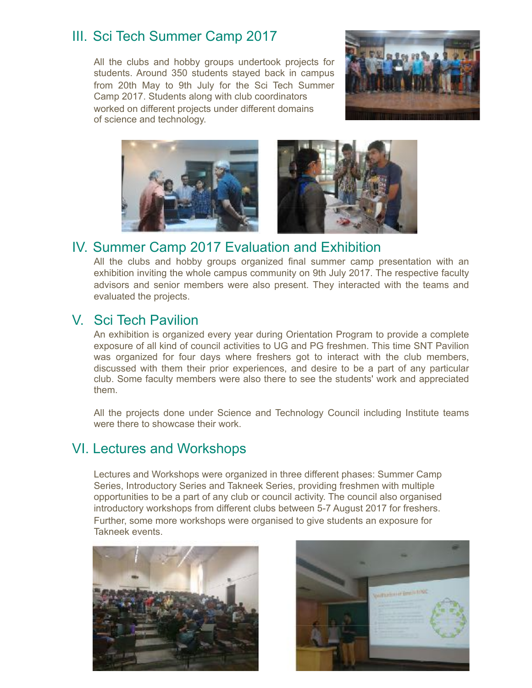## III. Sci Tech Summer Camp 2017

All the clubs and hobby groups undertook projects for students. Around 350 students stayed back in campus from 20th May to 9th July for the Sci Tech Summer Camp 2017. Students along with club coordinators worked on different projects under different domains of science and technology.





## IV. Summer Camp 2017 Evaluation and Exhibition

All the clubs and hobby groups organized final summer camp presentation with an exhibition inviting the whole campus community on 9th July 2017. The respective faculty advisors and senior members were also present. They interacted with the teams and evaluated the projects.

## V. Sci Tech Pavilion

An exhibition is organized every year during Orientation Program to provide a complete exposure of all kind of council activities to UG and PG freshmen. This time SNT Pavilion was organized for four days where freshers got to interact with the club members, discussed with them their prior experiences, and desire to be a part of any particular club. Some faculty members were also there to see the students' work and appreciated them.

All the projects done under Science and Technology Council including Institute teams were there to showcase their work.

## VI. Lectures and Workshops

Lectures and Workshops were organized in three different phases: Summer Camp Series, Introductory Series and Takneek Series, providing freshmen with multiple opportunities to be a part of any club or council activity. The council also organised introductory workshops from different clubs between 5-7 August 2017 for freshers. Further, some more workshops were organised to give students an exposure for Takneek events.



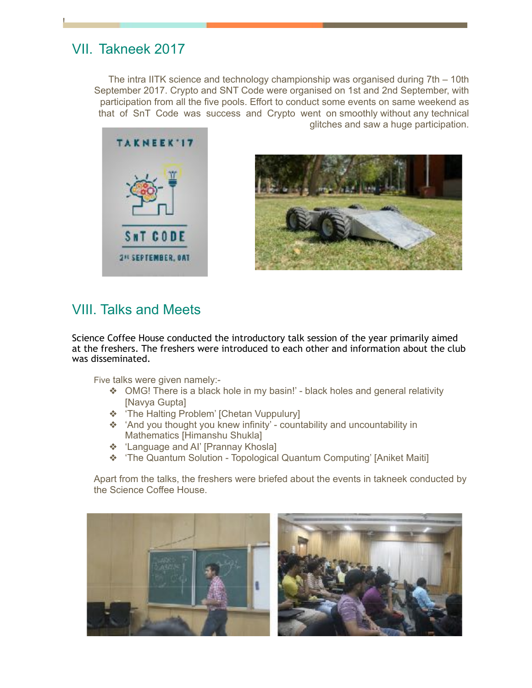## VII. Takneek 2017

!

The intra IITK science and technology championship was organised during 7th – 10th September 2017. Crypto and SNT Code were organised on 1st and 2nd September, with participation from all the five pools. Effort to conduct some events on same weekend as that of SnT Code was success and Crypto went on smoothly without any technical glitches and saw a huge participation.





## VIII. Talks and Meets

Science Coffee House conducted the introductory talk session of the year primarily aimed at the freshers. The freshers were introduced to each other and information about the club was disseminated.

Five talks were given namely:-

- ❖ OMG! There is a black hole in my basin!' black holes and general relativity [Navya Gupta]
- ❖ 'The Halting Problem' [Chetan Vuppulury]
- ❖ 'And you thought you knew infinity' countability and uncountability in Mathematics [Himanshu Shukla]
- ❖ 'Language and AI' [Prannay Khosla]
- ❖ 'The Quantum Solution Topological Quantum Computing' [Aniket Maiti]

Apart from the talks, the freshers were briefed about the events in takneek conducted by the Science Coffee House.

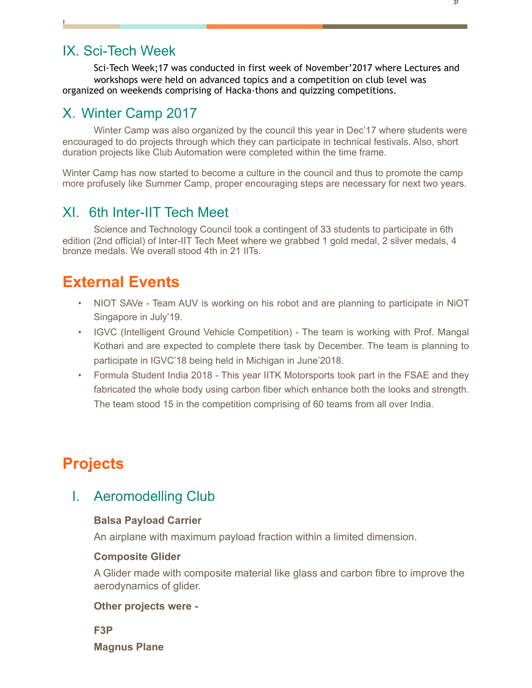## IX. Sci-Tech Week

!

Sci-Tech Week;17 was conducted in first week of November'2017 where Lectures and workshops were held on advanced topics and a competition on club level was organized on weekends comprising of Hacka-thons and quizzing competitions.

## X. Winter Camp 2017

Winter Camp was also organized by the council this year in Dec'17 where students were encouraged to do projects through which they can participate in technical festivals. Also, short duration projects like Club Automation were completed within the time frame.

Winter Camp has now started to become a culture in the council and thus to promote the camp more profusely like Summer Camp, proper encouraging steps are necessary for next two years.

## XI. 6th Inter-IIT Tech Meet

Science and Technology Council took a contingent of 33 students to participate in 6th edition (2nd official) of Inter-IIT Tech Meet where we grabbed 1 gold medal, 2 silver medals, 4 bronze medals. We overall stood 4th in 21 IITs.

## **External Events**

- NIOT SAVe Team AUV is working on his robot and are planning to participate in NiOT Singapore in July'19.
- IGVC (Intelligent Ground Vehicle Competition) The team is working with Prof. Mangal Kothari and are expected to complete there task by December. The team is planning to participate in IGVC'18 being held in Michigan in June'2018.
- Formula Student India 2018 This year IITK Motorsports took part in the FSAE and they fabricated the whole body using carbon fiber which enhance both the looks and strength. The team stood 15 in the competition comprising of 60 teams from all over India.

# **Projects**

## I. Aeromodelling Club

#### **Balsa Payload Carrier**

An airplane with maximum payload fraction within a limited dimension.

#### **Composite Glider**

A Glider made with composite material like glass and carbon fibre to improve the aerodynamics of glider.

#### **Other projects were -**

**F3P Magnus Plane**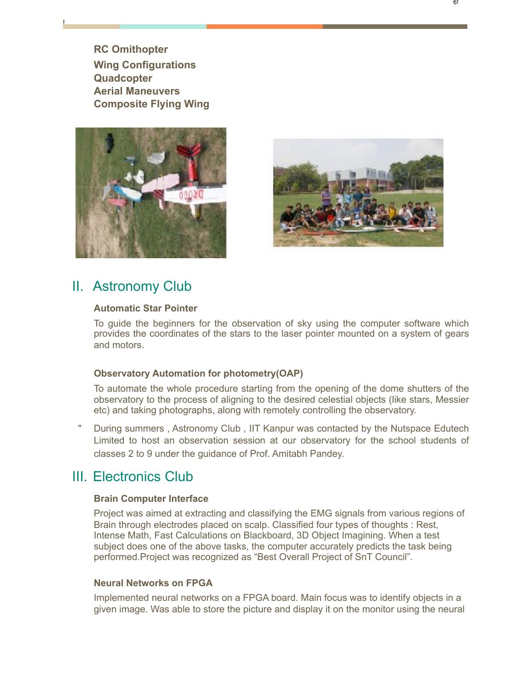**RC Omithopter Wing Configurations Quadcopter Aerial Maneuvers Composite Flying Wing** 

!





### II. Astronomy Club

#### **Automatic Star Pointer**

To guide the beginners for the observation of sky using the computer software which provides the coordinates of the stars to the laser pointer mounted on a system of gears and motors.

#### **Observatory Automation for photometry(OAP)**

To automate the whole procedure starting from the opening of the dome shutters of the observatory to the process of aligning to the desired celestial objects (like stars, Messier etc) and taking photographs, along with remotely controlling the observatory.

During summers, Astronomy Club, IIT Kanpur was contacted by the Nutspace Edutech Limited to host an observation session at our observatory for the school students of classes 2 to 9 under the guidance of Prof. Amitabh Pandey.

## III. Electronics Club

#### **Brain Computer Interface**

Project was aimed at extracting and classifying the EMG signals from various regions of Brain through electrodes placed on scalp. Classified four types of thoughts : Rest, Intense Math, Fast Calculations on Blackboard, 3D Object Imagining. When a test subject does one of the above tasks, the computer accurately predicts the task being performed.Project was recognized as "Best Overall Project of SnT Council".

#### **Neural Networks on FPGA**

Implemented neural networks on a FPGA board. Main focus was to identify objects in a given image. Was able to store the picture and display it on the monitor using the neural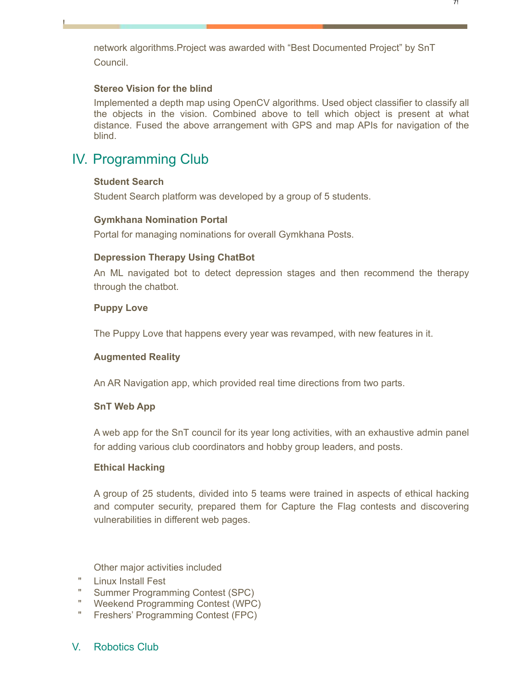network algorithms.Project was awarded with "Best Documented Project" by SnT Council.

#### **Stereo Vision for the blind**

Implemented a depth map using OpenCV algorithms. Used object classifier to classify all the objects in the vision. Combined above to tell which object is present at what distance. Fused the above arrangement with GPS and map APIs for navigation of the blind.

## IV. Programming Club

#### **Student Search**

!

Student Search platform was developed by a group of 5 students.

#### **Gymkhana Nomination Portal**

Portal for managing nominations for overall Gymkhana Posts.

#### **Depression Therapy Using ChatBot**

An ML navigated bot to detect depression stages and then recommend the therapy through the chatbot.

#### **Puppy Love**

The Puppy Love that happens every year was revamped, with new features in it.

#### **Augmented Reality**

An AR Navigation app, which provided real time directions from two parts.

#### **SnT Web App**

A web app for the SnT council for its year long activities, with an exhaustive admin panel for adding various club coordinators and hobby group leaders, and posts.

#### **Ethical Hacking**

A group of 25 students, divided into 5 teams were trained in aspects of ethical hacking and computer security, prepared them for Capture the Flag contests and discovering vulnerabilities in different web pages.

Other major activities included

- " Linux Install Fest
- " Summer Programming Contest (SPC)
- " Weekend Programming Contest (WPC)
- " Freshers' Programming Contest (FPC)

#### V. Robotics Club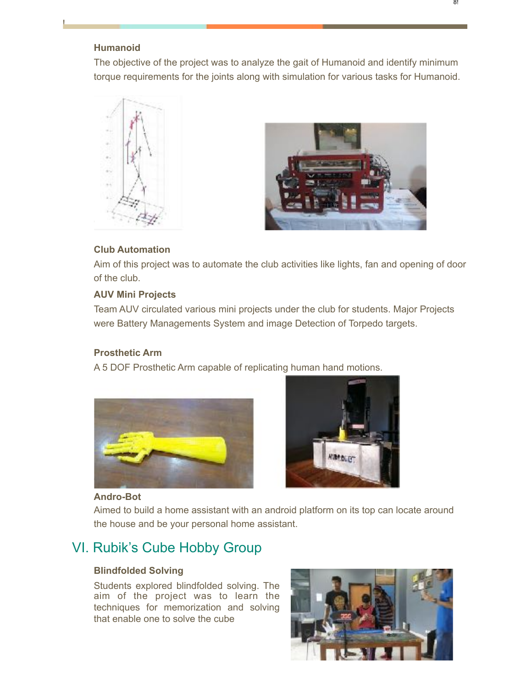#### **Humanoid**

!

The objective of the project was to analyze the gait of Humanoid and identify minimum torque requirements for the joints along with simulation for various tasks for Humanoid.





#### **Club Automation**

Aim of this project was to automate the club activities like lights, fan and opening of door of the club.

#### **AUV Mini Projects**

Team AUV circulated various mini projects under the club for students. Major Projects were Battery Managements System and image Detection of Torpedo targets.

#### **Prosthetic Arm**

A 5 DOF Prosthetic Arm capable of replicating human hand motions.





#### **Andro-Bot**

Aimed to build a home assistant with an android platform on its top can locate around the house and be your personal home assistant.

## VI. Rubik's Cube Hobby Group

#### **Blindfolded Solving**

Students explored blindfolded solving. The aim of the project was to learn the techniques for memorization and solving that enable one to solve the cube